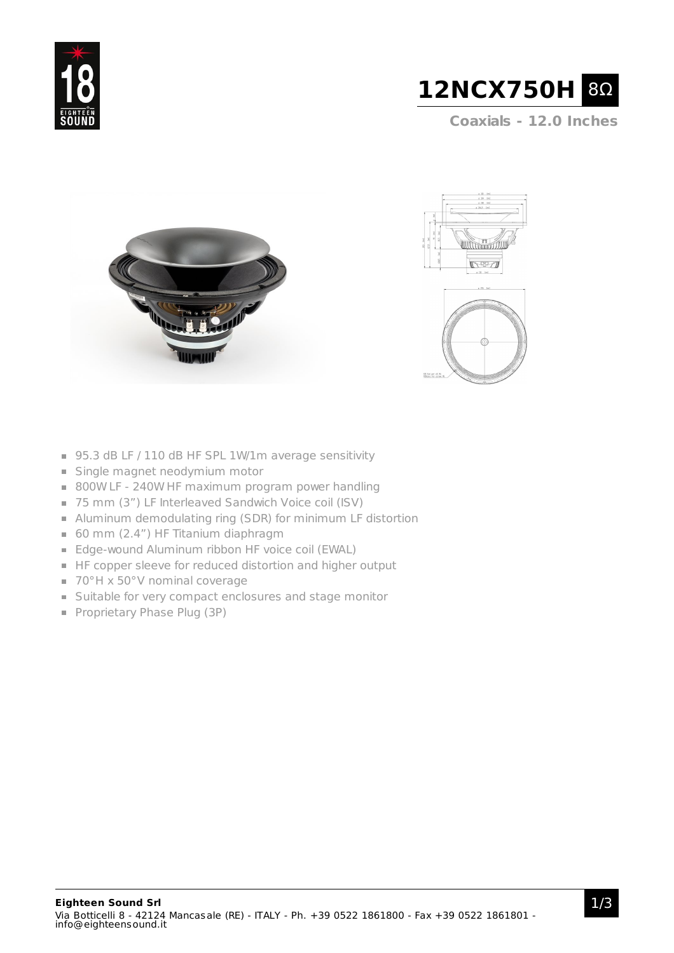



**Coaxials - 12.0 Inches**







- 95.3 dB LF / 110 dB HF SPL 1W/1m average sensitivity
- Single magnet neodymium motor
- 800W LF 240W HF maximum program power handling
- 75 mm (3") LF Interleaved Sandwich Voice coil (ISV)
- Aluminum demodulating ring (SDR) for minimum LF distortion
- 60 mm (2.4") HF Titanium diaphragm
- **Edge-wound Aluminum ribbon HF voice coil (EWAL)**
- HF copper sleeve for reduced distortion and higher output
- 70°H x 50°V nominal coverage
- Suitable for very compact enclosures and stage monitor
- Proprietary Phase Plug (3P)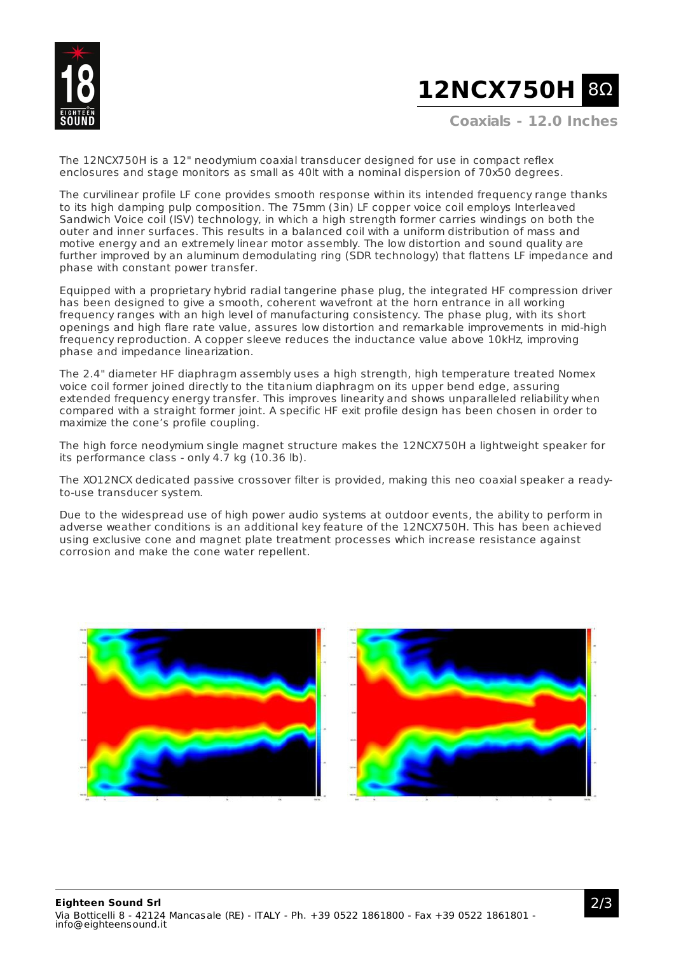

## **12NCX750H** 8Ω

**Coaxials - 12.0 Inches**

The 12NCX750H is a 12" neodymium coaxial transducer designed for use in compact reflex enclosures and stage monitors as small as 40lt with a nominal dispersion of 70x50 degrees.

The curvilinear profile LF cone provides smooth response within its intended frequency range thanks to its high damping pulp composition. The 75mm (3in) LF copper voice coil employs Interleaved Sandwich Voice coil (ISV) technology, in which a high strength former carries windings on both the outer and inner surfaces. This results in a balanced coil with a uniform distribution of mass and motive energy and an extremely linear motor assembly. The low distortion and sound quality are further improved by an aluminum demodulating ring (SDR technology) that flattens LF impedance and phase with constant power transfer.

Equipped with a proprietary hybrid radial tangerine phase plug, the integrated HF compression driver has been designed to give a smooth, coherent wavefront at the horn entrance in all working frequency ranges with an high level of manufacturing consistency. The phase plug, with its short openings and high flare rate value, assures low distortion and remarkable improvements in mid-high frequency reproduction. A copper sleeve reduces the inductance value above 10kHz, improving phase and impedance linearization.

The 2.4" diameter HF diaphragm assembly uses a high strength, high temperature treated Nomex voice coil former joined directly to the titanium diaphragm on its upper bend edge, assuring extended frequency energy transfer. This improves linearity and shows unparalleled reliability when compared with a straight former joint. A specific HF exit profile design has been chosen in order to maximize the cone's profile coupling.

The high force neodymium single magnet structure makes the 12NCX750H a lightweight speaker for its performance class - only 4.7 kg (10.36 lb).

The XO12NCX dedicated passive crossover filter is provided, making this neo coaxial speaker a readyto-use transducer system.

Due to the widespread use of high power audio systems at outdoor events, the ability to perform in adverse weather conditions is an additional key feature of the 12NCX750H. This has been achieved using exclusive cone and magnet plate treatment processes which increase resistance against corrosion and make the cone water repellent.